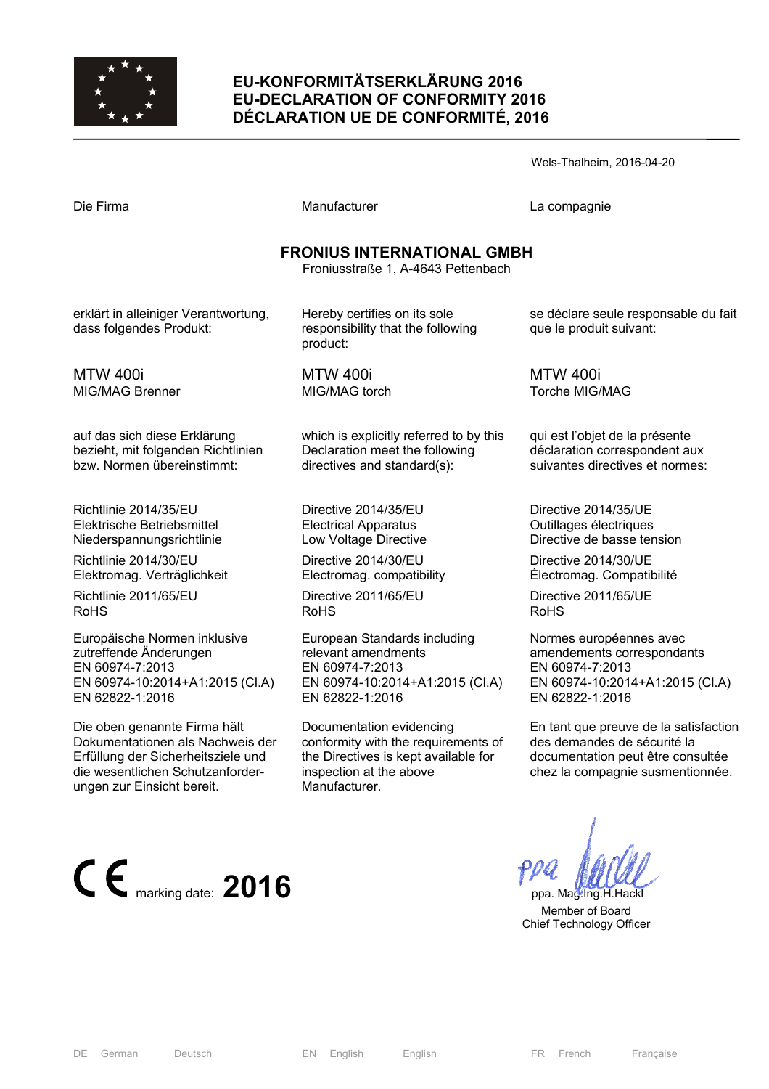

## **EU-KONFORMITÄTSERKLÄRUNG 2016 EU-DECLARATION OF CONFORMITY 2016 DÉCLARATION UE DE CONFORMITÉ, 2016**

Manufacturer **Compagnie** La compagnie

#### **FRONIUS INTERNATIONAL GMBH**

Froniusstraße 1, A-4643 Pettenbach

erklärt in alleiniger Verantwortung, dass folgendes Produkt:

MTW 400i MIG/MAG Brenner

auf das sich diese Erklärung bezieht, mit folgenden Richtlinien bzw. Normen übereinstimmt:

Richtlinie 2014/35/EU Elektrische Betriebsmittel Niederspannungsrichtlinie

Richtlinie 2014/30/EU Elektromag. Verträglichkeit

Richtlinie 2011/65/EU RoHS

Europäische Normen inklusive zutreffende Änderungen EN 60974-7:2013 EN 60974-10:2014+A1:2015 (Cl.A) EN 62822-1:2016

Die oben genannte Firma hält Dokumentationen als Nachweis der Erfüllung der Sicherheitsziele und die wesentlichen Schutzanforderungen zur Einsicht bereit.



Hereby certifies on its sole responsibility that the following product:

MTW 400i MIG/MAG torch

which is explicitly referred to by this Declaration meet the following directives and standard(s):

Directive 2014/35/EU Electrical Apparatus Low Voltage Directive

Directive 2014/30/EU Electromag. compatibility

Directive 2011/65/EU RoHS

European Standards including relevant amendments EN 60974-7:2013 EN 60974-10:2014+A1:2015 (Cl.A) EN 62822-1:2016

Documentation evidencing conformity with the requirements of the Directives is kept available for inspection at the above Manufacturer.

se déclare seule responsable du fait que le produit suivant:

MTW 400i Torche MIG/MAG

qui est l'objet de la présente déclaration correspondent aux suivantes directives et normes:

Directive 2014/35/UE Outillages électriques Directive de basse tension

Directive 2014/30/UE Électromag. Compatibilité

Directive 2011/65/UE RoHS

Normes européennes avec amendements correspondants EN 60974-7:2013 EN 60974-10:2014+A1:2015 (Cl.A) EN 62822-1:2016

En tant que preuve de la satisfaction des demandes de sécurité la documentation peut être consultée chez la compagnie susmentionnée.

 Member of Board Chief Technology Officer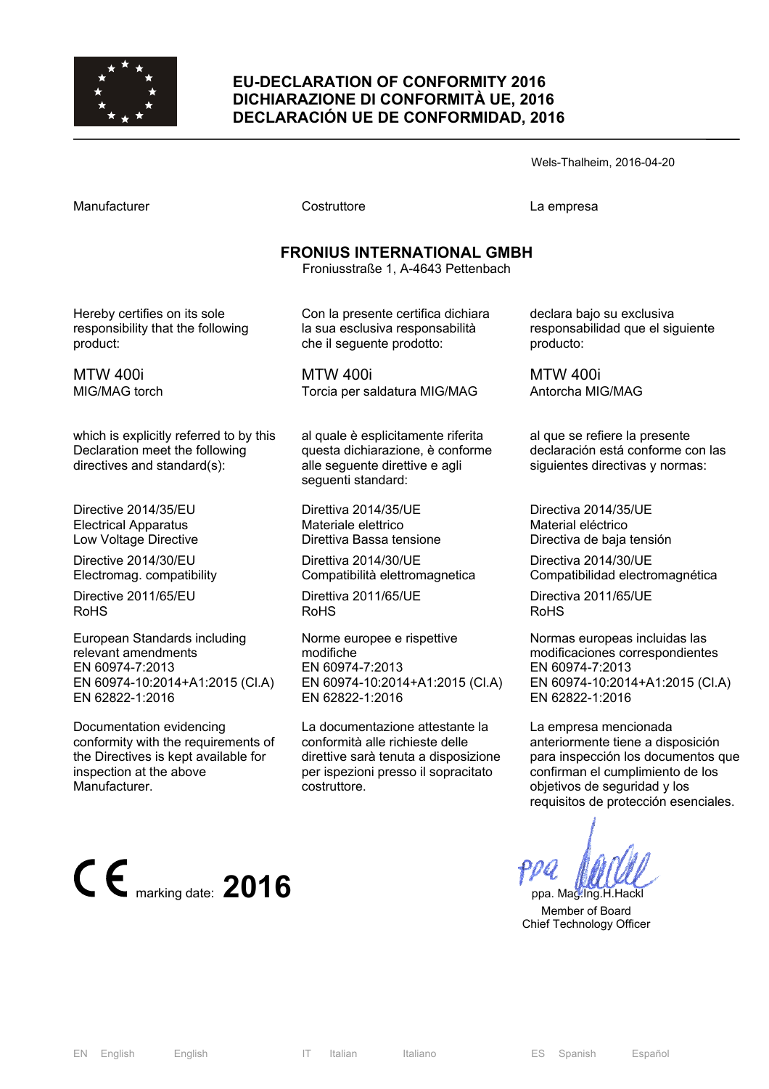

#### **EU-DECLARATION OF CONFORMITY 2016 DICHIARAZIONE DI CONFORMITÀ UE, 2016 DECLARACIÓN UE DE CONFORMIDAD, 2016**

Wels-Thalheim, 2016-04-20

Manufacturer Costruttore La empresa

# **FRONIUS INTERNATIONAL GMBH**

Froniusstraße 1, A-4643 Pettenbach

Hereby certifies on its sole responsibility that the following product:

MTW 400i MIG/MAG torch

which is explicitly referred to by this Declaration meet the following directives and standard(s):

Directive 2014/35/EU Electrical Apparatus Low Voltage Directive

Directive 2014/30/EU Electromag. compatibility

Directive 2011/65/EU RoHS

European Standards including relevant amendments EN 60974-7:2013 EN 60974-10:2014+A1:2015 (Cl.A) EN 62822-1:2016

Documentation evidencing conformity with the requirements of the Directives is kept available for inspection at the above Manufacturer.



Con la presente certifica dichiara la sua esclusiva responsabilità che il seguente prodotto:

MTW 400i Torcia per saldatura MIG/MAG

al quale è esplicitamente riferita questa dichiarazione, è conforme alle seguente direttive e agli seguenti standard:

Direttiva 2014/35/UE Materiale elettrico Direttiva Bassa tensione

Direttiva 2014/30/UE Compatibilità elettromagnetica

Direttiva 2011/65/UE RoHS

Norme europee e rispettive modifiche EN 60974-7:2013 EN 60974-10:2014+A1:2015 (Cl.A) EN 62822-1:2016

La documentazione attestante la conformità alle richieste delle direttive sarà tenuta a disposizione per ispezioni presso il sopracitato costruttore.

declara bajo su exclusiva responsabilidad que el siguiente producto:

MTW 400i Antorcha MIG/MAG

al que se refiere la presente declaración está conforme con las siguientes directivas y normas:

Directiva 2014/35/UE Material eléctrico Directiva de baja tensión

Directiva 2014/30/UE Compatibilidad electromagnética

Directiva 2011/65/UE RoHS

Normas europeas incluidas las modificaciones correspondientes EN 60974-7:2013 EN 60974-10:2014+A1:2015 (Cl.A) EN 62822-1:2016

La empresa mencionada anteriormente tiene a disposición para inspección los documentos que confirman el cumplimiento de los objetivos de seguridad y los requisitos de protección esenciales.

 Member of Board Chief Technology Officer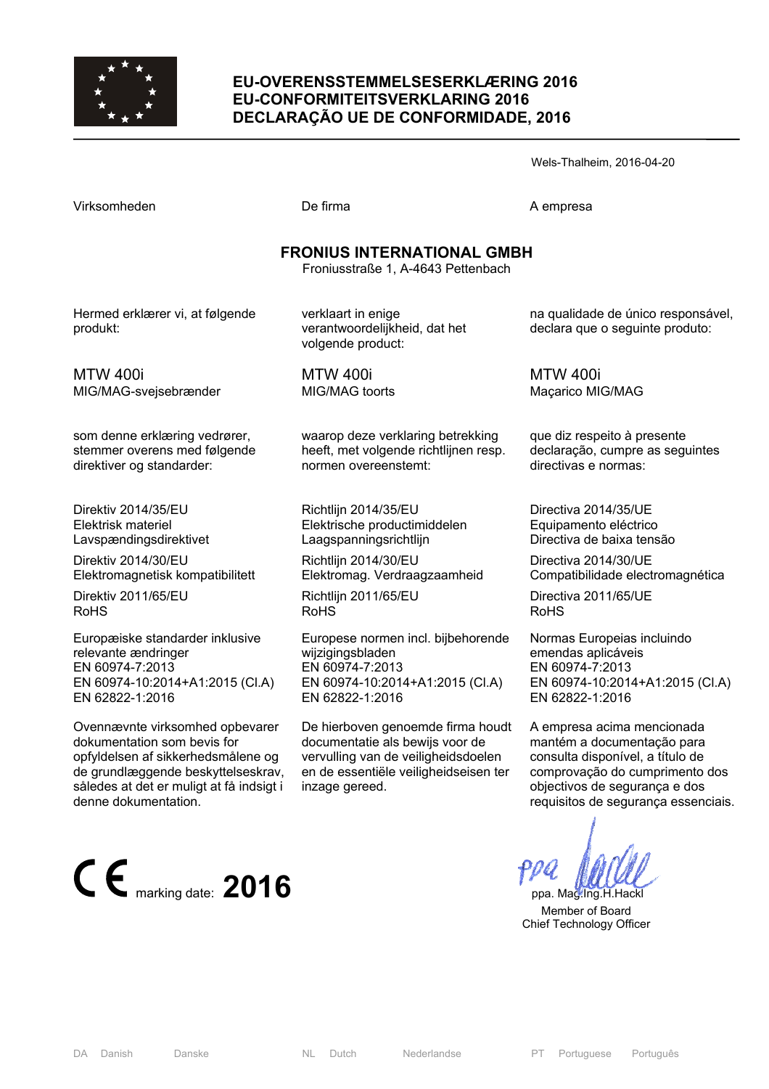

#### **EU-OVERENSSTEMMELSESERKLÆRING 2016 EU-CONFORMITEITSVERKLARING 2016 DECLARAÇÃO UE DE CONFORMIDADE, 2016**

Wels-Thalheim, 2016-04-20

Virksomheden **De firma** De firma A empresa

## **FRONIUS INTERNATIONAL GMBH**

Froniusstraße 1, A-4643 Pettenbach

Hermed erklærer vi, at følgende produkt:

verklaart in enige verantwoordelijkheid, dat het volgende product:

MTW 400i MIG/MAG-svejsebrænder

som denne erklæring vedrører, stemmer overens med følgende direktiver og standarder:

Direktiv 2014/35/EU Elektrisk materiel Lavspændingsdirektivet

Direktiv 2014/30/EU Elektromagnetisk kompatibilitett

Direktiv 2011/65/EU RoHS

Europæiske standarder inklusive relevante ændringer EN 60974-7:2013 EN 60974-10:2014+A1:2015 (Cl.A) EN 62822-1:2016

Ovennævnte virksomhed opbevarer dokumentation som bevis for opfyldelsen af sikkerhedsmålene og de grundlæggende beskyttelseskrav, således at det er muligt at få indsigt i denne dokumentation.



MTW 400i MIG/MAG toorts

waarop deze verklaring betrekking heeft, met volgende richtlijnen resp. normen overeenstemt:

Richtlijn 2014/35/EU Elektrische productimiddelen Laagspanningsrichtlijn

Richtlijn 2014/30/EU Elektromag. Verdraagzaamheid

Richtlijn 2011/65/EU RoHS

Europese normen incl. bijbehorende wijzigingsbladen EN 60974-7:2013 EN 60974-10:2014+A1:2015 (Cl.A) EN 62822-1:2016

De hierboven genoemde firma houdt documentatie als bewijs voor de vervulling van de veiligheidsdoelen en de essentiële veiligheidseisen ter inzage gereed.

na qualidade de único responsável, declara que o seguinte produto:

MTW 400i Maçarico MIG/MAG

que diz respeito à presente declaração, cumpre as seguintes directivas e normas:

Directiva 2014/35/UE Equipamento eléctrico Directiva de baixa tensão

Directiva 2014/30/UE Compatibilidade electromagnética

Directiva 2011/65/UE RoHS

Normas Europeias incluindo emendas aplicáveis EN 60974-7:2013 EN 60974-10:2014+A1:2015 (Cl.A) EN 62822-1:2016

A empresa acima mencionada mantém a documentação para consulta disponível, a título de comprovação do cumprimento dos objectivos de segurança e dos requisitos de segurança essenciais.

 Member of Board Chief Technology Officer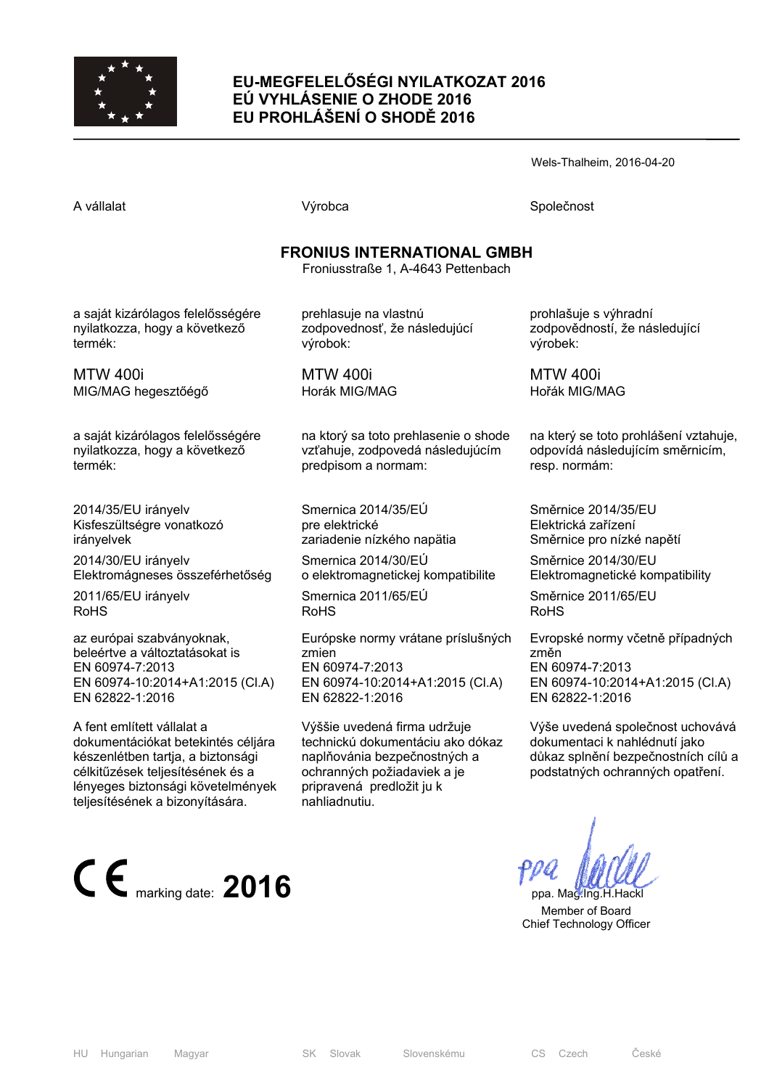

## **EU-MEGFELELŐSÉGI NYILATKOZAT 2016 EÚ VYHLÁSENIE O ZHODE 2016 EU PROHLÁŠENÍ O SHODĚ 2016**

Wels-Thalheim, 2016-04-20

A vállalat Společnost Národová výrobca Na vállalat Společnost Společnost Společnost Společnost Společnost Společnost

## **FRONIUS INTERNATIONAL GMBH**

Froniusstraße 1, A-4643 Pettenbach

a saját kizárólagos felelősségére nyilatkozza, hogy a következő termék:

MTW 400i MIG/MAG hegesztőégő

a saját kizárólagos felelősségére nyilatkozza, hogy a következő termék:

2014/35/EU irányelv Kisfeszültségre vonatkozó irányelvek

2014/30/EU irányelv Elektromágneses összeférhetőség

2011/65/EU irányelv RoHS

az európai szabványoknak, beleértve a változtatásokat is EN 60974-7:2013 EN 60974-10:2014+A1:2015 (Cl.A) EN 62822-1:2016

A fent említett vállalat a dokumentációkat betekintés céljára készenlétben tartja, a biztonsági célkitűzések teljesítésének és a lényeges biztonsági követelmények teljesítésének a bizonyítására.



prehlasuje na vlastnú zodpovednosť, že následujúcí výrobok:

MTW 400i Horák MIG/MAG

na ktorý sa toto prehlasenie o shode vzťahuje, zodpovedá následujúcím predpisom a normam:

Smernica 2014/35/EÚ pre elektrické zariadenie nízkého napätia

Smernica 2014/30/EÚ o elektromagnetickej kompatibilite

Smernica 2011/65/EÚ RoHS

Európske normy vrátane príslušných zmien EN 60974-7:2013 EN 60974-10:2014+A1:2015 (Cl.A) EN 62822-1:2016

Výššie uvedená firma udržuje technickú dokumentáciu ako dókaz naplňovánia bezpečnostných a ochranných požiadaviek a je pripravená predložit ju k nahliadnutiu.

prohlašuje s výhradní zodpovědností, že následující výrobek:

MTW 400i Hořák MIG/MAG

na který se toto prohlášení vztahuje, odpovídá následujícím směrnicím, resp. normám:

Směrnice 2014/35/EU Elektrická zařízení Směrnice pro nízké napětí

Směrnice 2014/30/EU Elektromagnetické kompatibility

Směrnice 2011/65/EU RoHS

Evropské normy včetně případných změn EN 60974-7:2013 EN 60974-10:2014+A1:2015 (Cl.A) EN 62822-1:2016

Výše uvedená společnost uchovává dokumentaci k nahlédnutí jako důkaz splnění bezpečnostních cílů a podstatných ochranných opatření.

 Member of Board Chief Technology Officer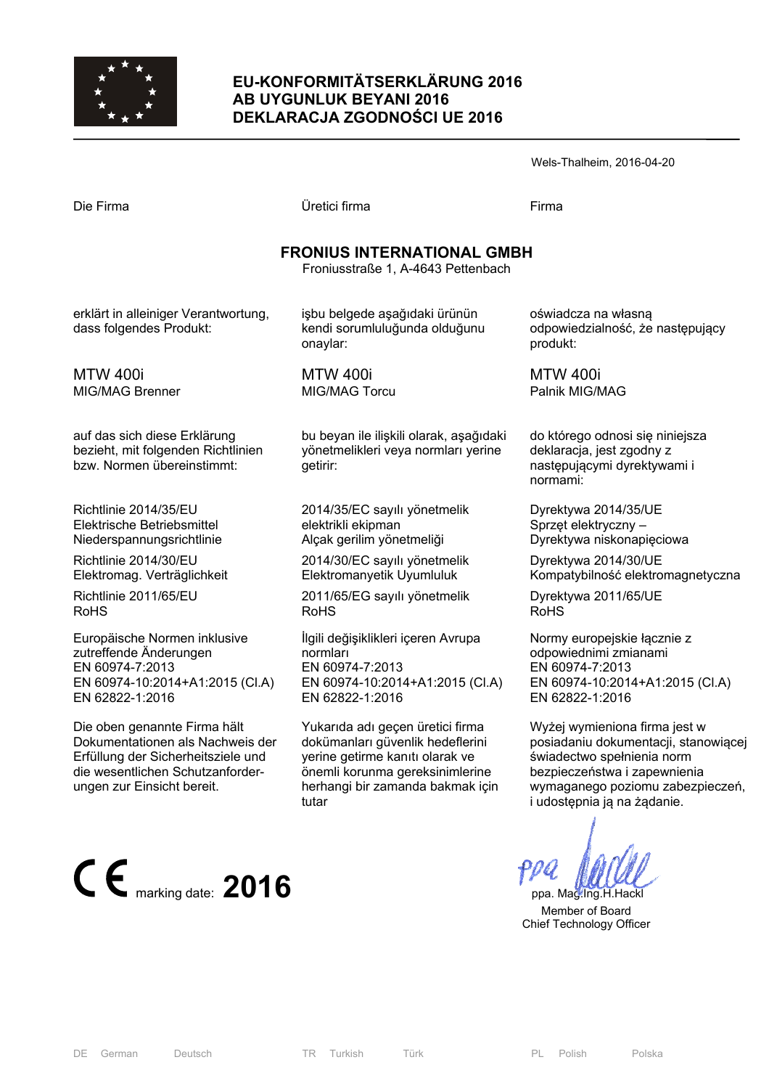

#### **EU-KONFORMITÄTSERKLÄRUNG 2016 AB UYGUNLUK BEYANI 2016 DEKLARACJA ZGODNOŚCI UE 2016**

| Die Firma | Üretici firma                     | Firma |
|-----------|-----------------------------------|-------|
|           |                                   |       |
|           | <b>FRONIUS INTERNATIONAL GMBH</b> |       |

## **FRONIUS INTERNATIONAL GMBH**

Froniusstraße 1, A-4643 Pettenbach

erklärt in alleiniger Verantwortung, dass folgendes Produkt:

MTW 400i MIG/MAG Brenner

auf das sich diese Erklärung bezieht, mit folgenden Richtlinien bzw. Normen übereinstimmt:

Richtlinie 2014/35/EU Elektrische Betriebsmittel Niederspannungsrichtlinie

Richtlinie 2014/30/EU Elektromag. Verträglichkeit

Richtlinie 2011/65/EU RoHS

Europäische Normen inklusive zutreffende Änderungen EN 60974-7:2013 EN 60974-10:2014+A1:2015 (Cl.A) EN 62822-1:2016

Die oben genannte Firma hält Dokumentationen als Nachweis der Erfüllung der Sicherheitsziele und die wesentlichen Schutzanforderungen zur Einsicht bereit.



işbu belgede aşağıdaki ürünün kendi sorumluluğunda olduğunu onaylar:

MTW 400i MIG/MAG Torcu

bu beyan ile ilişkili olarak, aşağıdaki yönetmelikleri veya normları yerine getirir:

2014/35/EC sayılı yönetmelik elektrikli ekipman Alçak gerilim yönetmeliği

2014/30/EC sayılı yönetmelik Elektromanyetik Uyumluluk

2011/65/EG sayılı yönetmelik RoHS

İlgili değişiklikleri içeren Avrupa normları EN 60974-7:2013 EN 60974-10:2014+A1:2015 (Cl.A) EN 62822-1:2016

Yukarıda adı geçen üretici firma dokümanları güvenlik hedeflerini yerine getirme kanıtı olarak ve önemli korunma gereksinimlerine herhangi bir zamanda bakmak için tutar

oświadcza na własną odpowiedzialność, że następujący produkt:

MTW 400i Palnik MIG/MAG

do którego odnosi się niniejsza deklaracja, jest zgodny z następującymi dyrektywami i normami:

Dyrektywa 2014/35/UE Sprzęt elektryczny – Dyrektywa niskonapięciowa

Dyrektywa 2014/30/UE Kompatybilność elektromagnetyczna

Dyrektywa 2011/65/UE RoHS

Normy europejskie łącznie z odpowiednimi zmianami EN 60974-7:2013 EN 60974-10:2014+A1:2015 (Cl.A) EN 62822-1:2016

Wyżej wymieniona firma jest w posiadaniu dokumentacji, stanowiącej świadectwo spełnienia norm bezpieczeństwa i zapewnienia wymaganego poziomu zabezpieczeń, i udostępnia ją na żądanie.

 Member of Board Chief Technology Officer